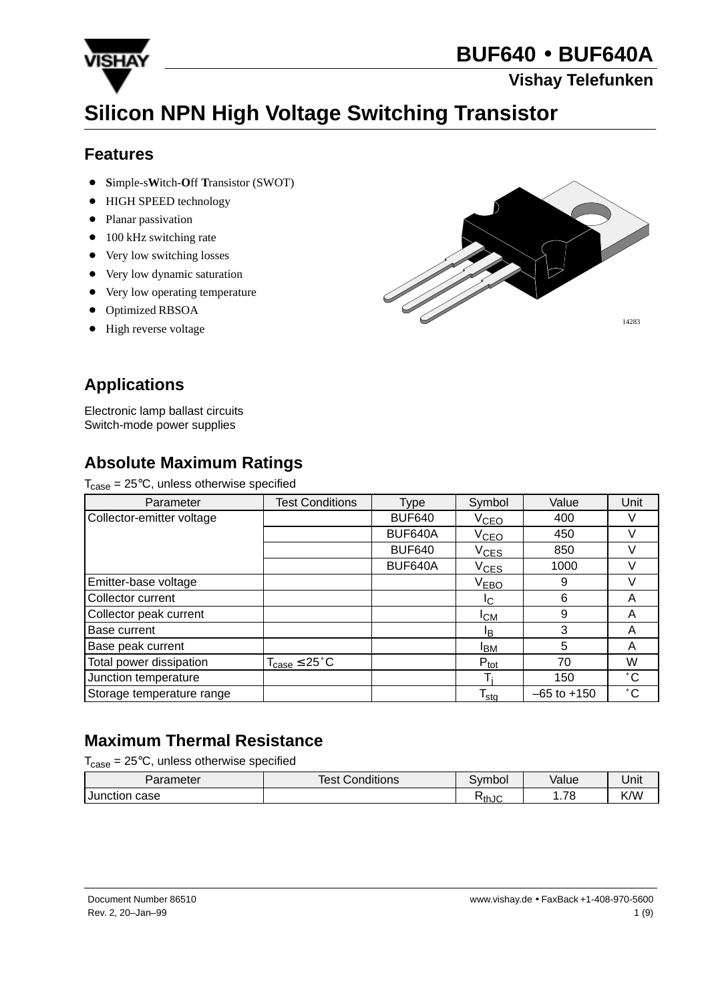

#### **Vishay Telefunken**

# **Silicon NPN High Voltage Switching Transistor**

#### **Features**

- **S**imple-s**W**itch-**O**ff **T**ransistor (SWOT)
- $\bullet$ HIGH SPEED technology
- Planar passivation
- 100 kHz switching rate
- Very low switching losses
- Very low dynamic saturation
- Very low operating temperature
- Optimized RBSOA
- $\bullet$ High reverse voltage



## **Applications**

Electronic lamp ballast circuits Switch-mode power supplies

## **Absolute Maximum Ratings**

 $T_{\text{case}} = 25^{\circ}\text{C}$ , unless otherwise specified

| Parameter                 | <b>Test Conditions</b>              | Type          | Symbol           | Value           | Unit         |
|---------------------------|-------------------------------------|---------------|------------------|-----------------|--------------|
| Collector-emitter voltage |                                     | <b>BUF640</b> | V <sub>CEO</sub> | 400             |              |
|                           |                                     | BUF640A       | V <sub>CEO</sub> | 450             |              |
|                           |                                     | <b>BUF640</b> | $V_{CES}$        | 850             |              |
|                           |                                     | BUF640A       | $V_{CES}$        | 1000            |              |
| Emitter-base voltage      |                                     |               | V <sub>EBO</sub> | 9               |              |
| Collector current         |                                     |               | IC.              | 6               | Α            |
| Collector peak current    |                                     |               | <b>I</b> CM      | 9               | A            |
| Base current              |                                     |               | ΙB               | 3               | А            |
| Base peak current         |                                     |               | <sup>I</sup> BM  | 5               | Α            |
| Total power dissipation   | $T_{\text{case}} \leq 25^{\circ}$ C |               | $P_{\text{tot}}$ | 70              | W            |
| Junction temperature      |                                     |               |                  | 150             | $^{\circ}$ C |
| Storage temperature range |                                     |               | $T_{sta}$        | $-65$ to $+150$ | $^{\circ}$ C |

## **Maximum Thermal Resistance**

 $T_{\text{case}} = 25^{\circ}\text{C}$ , unless otherwise specified

| Parameter          | <b>Test Conditions</b> | svmbol | Value        | Unit |
|--------------------|------------------------|--------|--------------|------|
| case<br>I Junction |                        | ՒthJC  | 79<br>ັ<br>. | K/W  |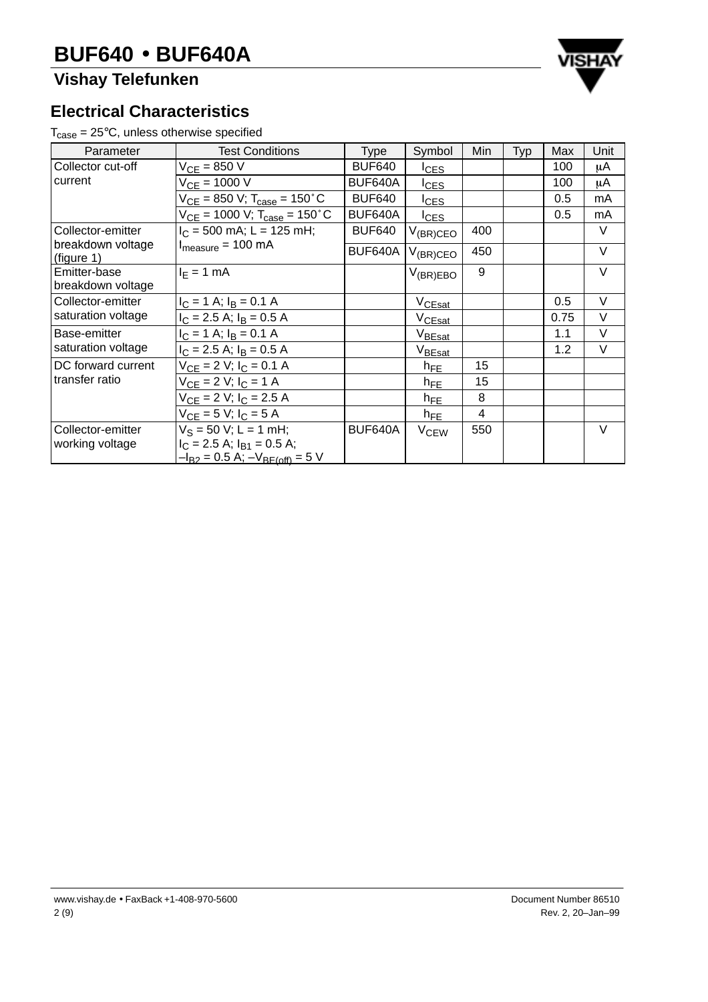## **Vishay Telefunken**



#### **Electrical Characteristics**

 $T_{\text{case}} = 25^{\circ}\text{C}$ , unless otherwise specified

| Parameter                            | <b>Test Conditions</b>                                                                                 | <b>Type</b>   | Symbol                 | Min | Typ | Max  | Unit   |
|--------------------------------------|--------------------------------------------------------------------------------------------------------|---------------|------------------------|-----|-----|------|--------|
| Collector cut-off                    | $V_{CF} = 850 V$                                                                                       | <b>BUF640</b> | <b>I</b> CES           |     |     | 100  | μA     |
| current                              | $V_{CF} = 1000 V$                                                                                      | BUF640A       | $I_{CES}$              |     |     | 100  | μA     |
|                                      | $V_{CE}$ = 850 V; T <sub>case</sub> = 150 °C                                                           | <b>BUF640</b> | <b>I</b> CES           |     |     | 0.5  | mA     |
|                                      | $V_{CE}$ = 1000 V; T <sub>case</sub> = 150 °C                                                          | BUF640A       | <u>ICES</u>            |     |     | 0.5  | mA     |
| Collector-emitter                    | $I_C$ = 500 mA; L = 125 mH;                                                                            | <b>BUF640</b> | $V_{(BR)CEO}$          | 400 |     |      | V      |
| breakdown voltage<br>(figure 1)      | $I_{measure} = 100 \text{ mA}$                                                                         | BUF640A       | $V_{(BR)CEO}$          | 450 |     |      | $\vee$ |
| Emitter-base<br>breakdown voltage    | $I_F = 1$ mA                                                                                           |               | $V_{(BR)EBO}$          | 9   |     |      | $\vee$ |
| Collector-emitter                    | $I_C = 1$ A; $I_B = 0.1$ A                                                                             |               | V <sub>CEsat</sub>     |     |     | 0.5  | $\vee$ |
| saturation voltage                   | $I_C$ = 2.5 A; $I_B$ = 0.5 A                                                                           |               | V <sub>CEsat</sub>     |     |     | 0.75 | $\vee$ |
| Base-emitter                         | $I_C = 1$ A; $I_B = 0.1$ A                                                                             |               | $V_{BEast}$            |     |     | 1.1  | $\vee$ |
| saturation voltage                   | $I_C = 2.5$ A; $I_B = 0.5$ A                                                                           |               | $V_{BEast}$            |     |     | 1.2  | $\vee$ |
| DC forward current                   | $V_{CE} = 2 V$ ; $I_C = 0.1 A$                                                                         |               | $h_{FE}$               | 15  |     |      |        |
| transfer ratio                       | $V_{CE} = 2 V; I_C = 1 A$                                                                              |               | $h_{FE}$               | 15  |     |      |        |
|                                      | $V_{CF} = 2 V$ ; $I_C = 2.5 A$                                                                         |               | $h_{FE}$               | 8   |     |      |        |
|                                      | $V_{CF} = 5 V$ ; $I_C = 5 A$                                                                           |               | $h_{FE}$               | 4   |     |      |        |
| Collector-emitter<br>working voltage | $V_S = 50$ V; L = 1 mH;<br>$I_C = 2.5$ A; $I_{B1} = 0.5$ A;<br>$-I_{B2} = 0.5$ A; $-V_{BE(off)} = 5$ V | BUF640A       | <b>V<sub>CEW</sub></b> | 550 |     |      | $\vee$ |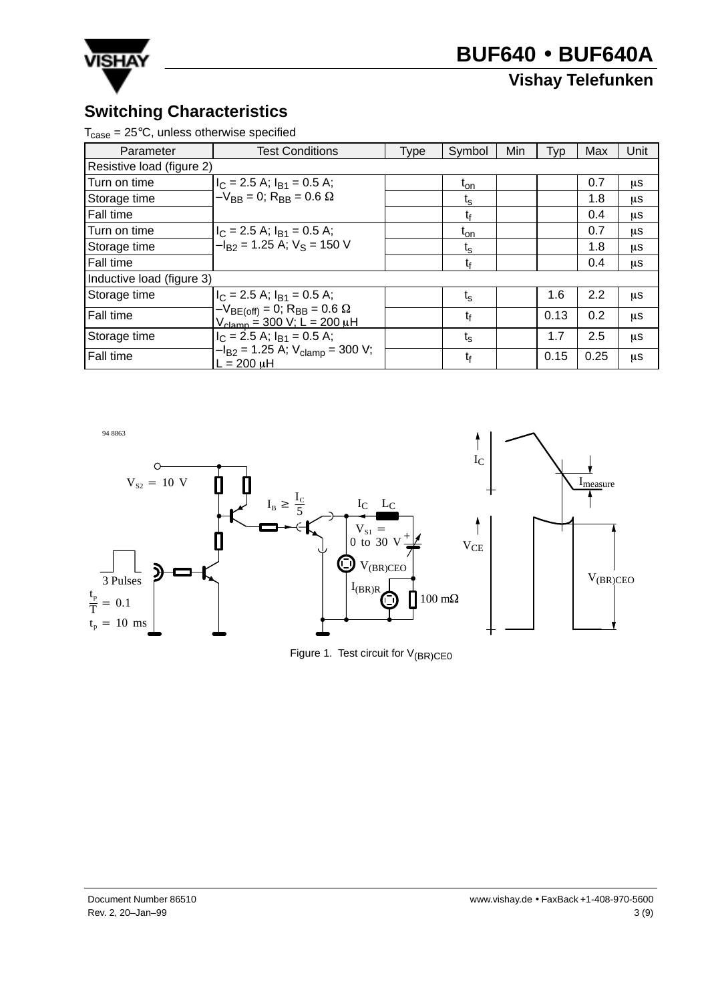

## **Vishay Telefunken**

### **Switching Characteristics**

 $T_{\text{case}} = 25^{\circ}\text{C}$ , unless otherwise specified

| Parameter                 | <b>Test Conditions</b>                                                                                        | <b>Type</b> | Symbol            | Min | Typ  | Max  | Unit |
|---------------------------|---------------------------------------------------------------------------------------------------------------|-------------|-------------------|-----|------|------|------|
| Resistive load (figure 2) |                                                                                                               |             |                   |     |      |      |      |
| Turn on time              | $I_C = 2.5$ A; $I_{B1} = 0.5$ A;                                                                              |             | $t_{on}$          |     |      | 0.7  | μs   |
| Storage time              | $-V_{BB} = 0$ ; R <sub>BB</sub> = 0.6 $\Omega$                                                                |             | $t_{\rm s}$       |     |      | 1.8  | μS   |
| <b>Fall time</b>          |                                                                                                               |             | t£                |     |      | 0.4  | μs   |
| Turn on time              | $I_C = 2.5$ A; $I_{B1} = 0.5$ A;                                                                              |             | $t_{\mathsf{on}}$ |     |      | 0.7  | μs   |
| Storage time              | $-I_{R2}$ = 1.25 A; $V_S$ = 150 V                                                                             |             | $t_{\rm s}$       |     |      | 1.8  | μS   |
| Fall time                 |                                                                                                               |             | t <sub>f</sub>    |     |      | 0.4  | μS   |
| Inductive load (figure 3) |                                                                                                               |             |                   |     |      |      |      |
| Storage time              | $I_C = 2.5$ A; $I_{B1} = 0.5$ A;                                                                              |             | $t_{\rm s}$       |     | 1.6  | 2.2  | μs   |
| Fall time                 | $-V_{BE(off)} = 0$ ; R <sub>BB</sub> = 0.6 $\Omega$<br>$V_{\text{clamp}} = 300 \text{ V}; L = 200 \text{ µH}$ |             | t <sub>f</sub>    |     | 0.13 | 0.2  | μs   |
| Storage time              | $I_C = 2.5$ A; $I_{B1} = 0.5$ A;                                                                              |             | $t_{\rm s}$       |     | 1.7  | 2.5  | μS   |
| Fall time                 | $-I_{B2} = 1.25$ A; $V_{\text{clamp}} = 300$ V;<br>$L = 200 \mu H$                                            |             | t <sub>f</sub>    |     | 0.15 | 0.25 | μS   |



Figure 1. Test circuit for  $V_{(BR)CE0}$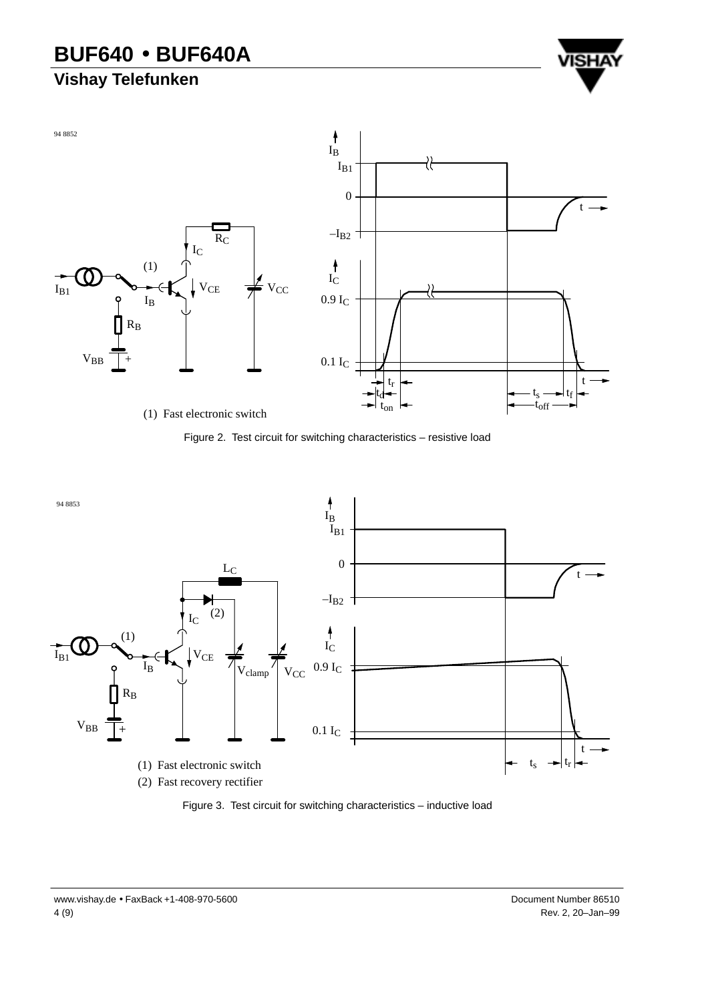## **Vishay Telefunken**









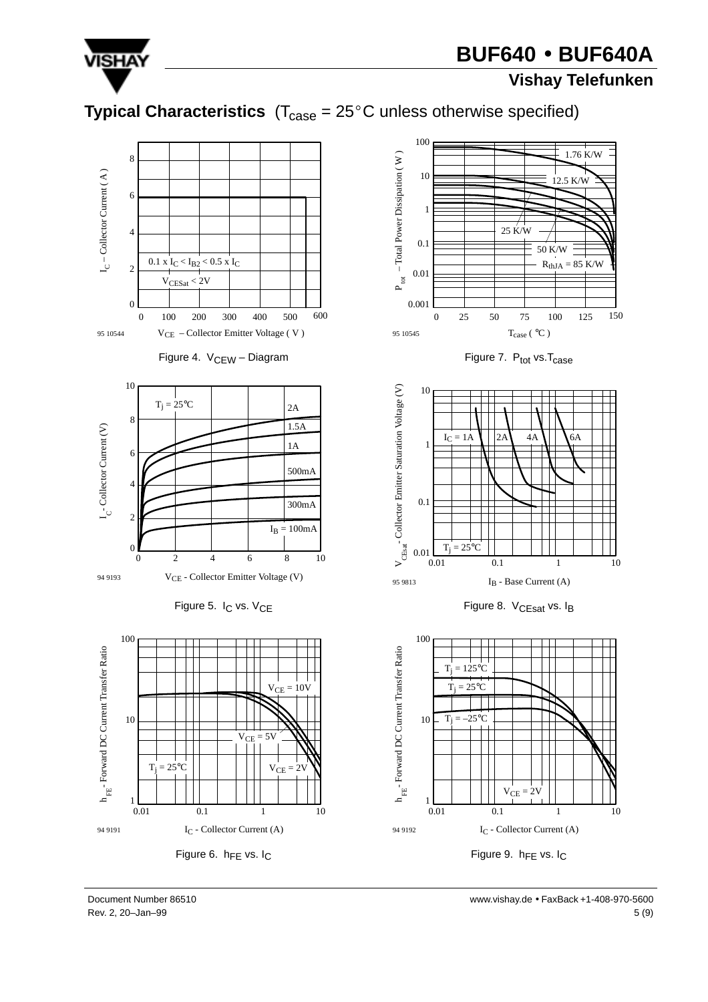

#### **Vishay Telefunken**

## **Typical Characteristics**  $(T_{\text{case}} = 25^{\circ} \text{C}$  unless otherwise specified)

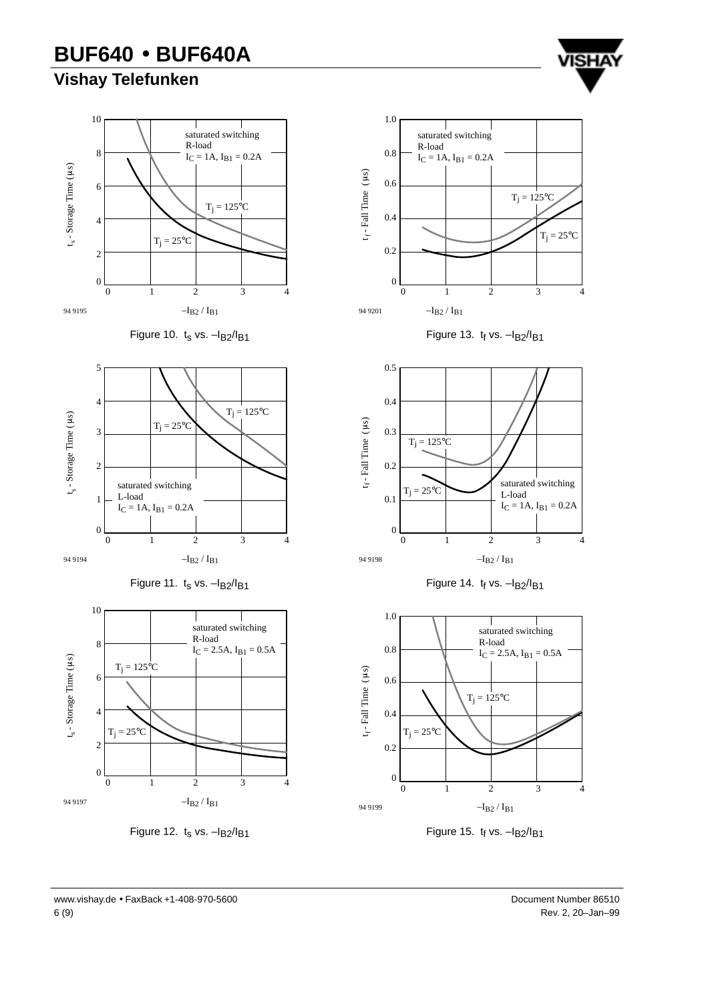## **Vishay Telefunken**

















Figure 13.  $t_f$  vs.  $-I<sub>B2</sub>/I<sub>B1</sub>$ 







Figure 15.  $t_f$  vs.  $-I<sub>B2</sub>/I<sub>B1</sub>$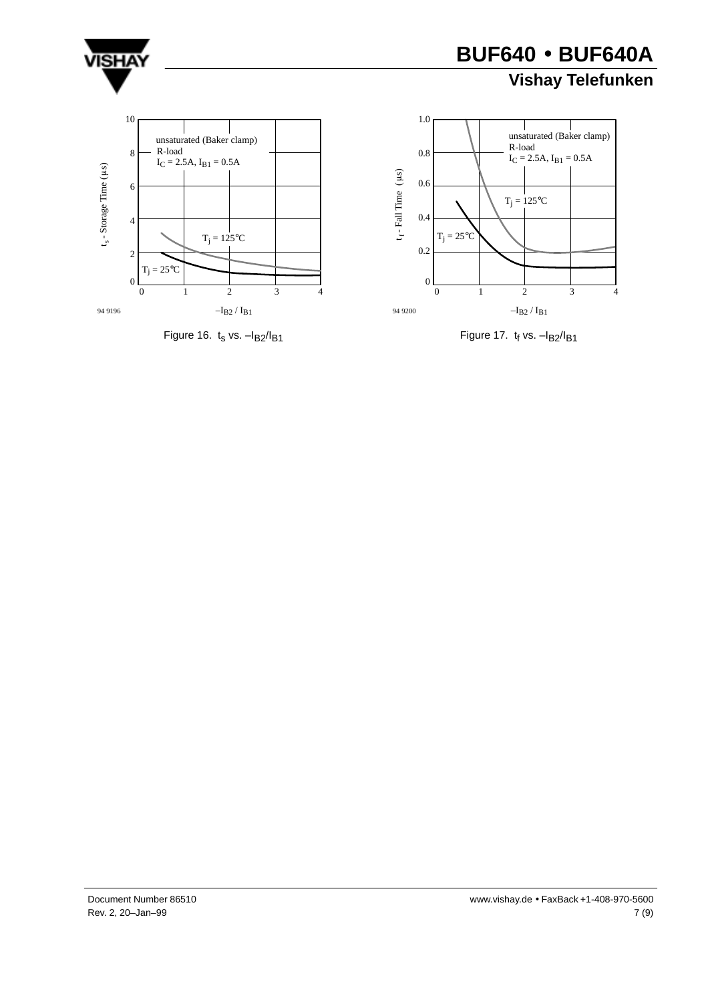

## **Vishay Telefunken**







Figure 17.  $t_f$  vs.  $-I_B2/I_{B1}$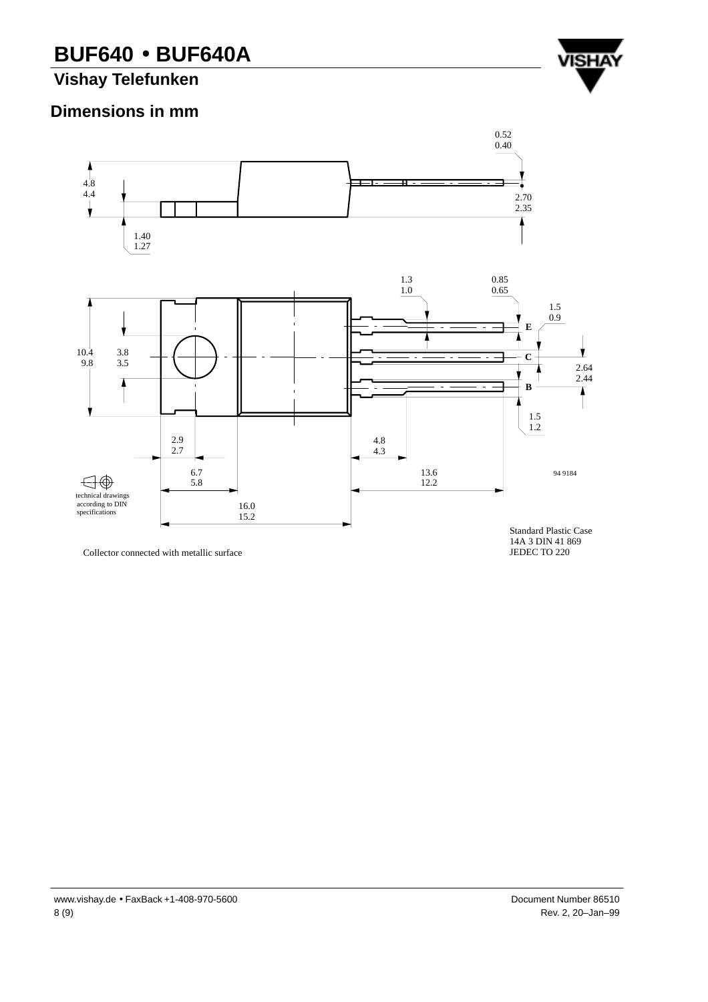**Vishay Telefunken**

#### **Dimensions in mm**



Collector connected with metallic surface

14A 3 DIN 41 869 JEDEC TO 220